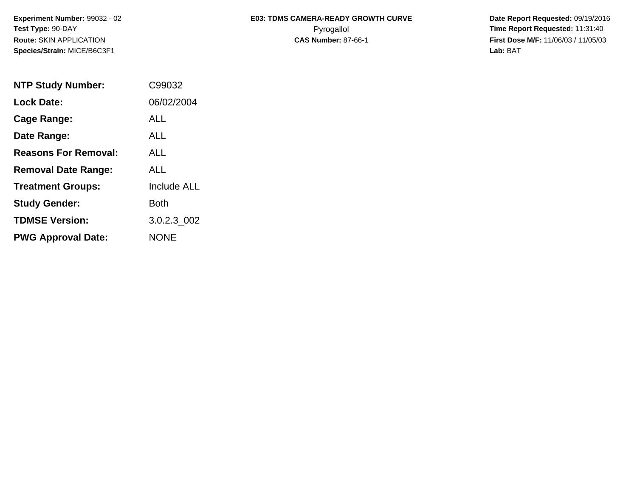**Species/Strain:** MICE/B6C3F1 **Lab:** BAT

## Experiment Number: 99032 - 02 **E03: TDMS CAMERA-READY GROWTH CURVE** Date Report Requested: 09/19/2016 **Test Type:** 90-DAY Pyrogallol **Time Report Requested:** 11:31:40 **Route:** SKIN APPLICATION **CAS Number:** 87-66-1 **First Dose M/F:** 11/06/03 / 11/05/03

| <b>NTP Study Number:</b>    | C99032             |
|-----------------------------|--------------------|
| <b>Lock Date:</b>           | 06/02/2004         |
| Cage Range:                 | ALL                |
| Date Range:                 | AI I               |
| <b>Reasons For Removal:</b> | ALL                |
| <b>Removal Date Range:</b>  | ALL                |
| <b>Treatment Groups:</b>    | <b>Include ALL</b> |
| <b>Study Gender:</b>        | Both               |
| <b>TDMSE Version:</b>       | 3.0.2.3 002        |
| <b>PWG Approval Date:</b>   | <b>NONF</b>        |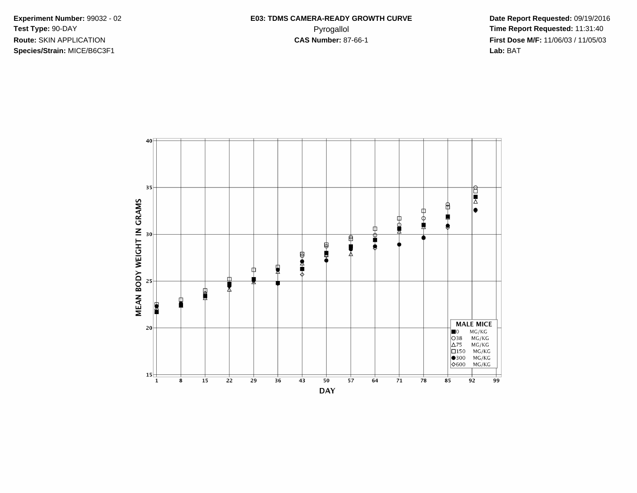**Species/Strain:** MICE/B6C3F1 **Lab:** BAT